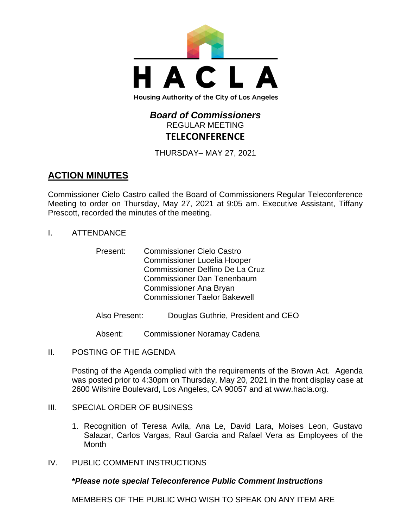

# *Board of Commissioners* REGULAR MEETING **TELECONFERENCE**

THURSDAY– MAY 27, 2021

# **ACTION MINUTES**

Commissioner Cielo Castro called the Board of Commissioners Regular Teleconference Meeting to order on Thursday, May 27, 2021 at 9:05 am. Executive Assistant, Tiffany Prescott, recorded the minutes of the meeting.

- I. ATTENDANCE
	- Present: Commissioner Cielo Castro Commissioner Lucelia Hooper Commissioner Delfino De La Cruz Commissioner Dan Tenenbaum Commissioner Ana Bryan Commissioner Taelor Bakewell
	- Also Present: Douglas Guthrie, President and CEO

Absent: Commissioner Noramay Cadena

II. POSTING OF THE AGENDA

Posting of the Agenda complied with the requirements of the Brown Act. Agenda was posted prior to 4:30pm on Thursday, May 20, 2021 in the front display case at 2600 Wilshire Boulevard, Los Angeles, CA 90057 and at [www.hacla.org.](http://www.hacla.org/)

- III. SPECIAL ORDER OF BUSINESS
	- 1. Recognition of Teresa Avila, Ana Le, David Lara, Moises Leon, Gustavo Salazar, Carlos Vargas, Raul Garcia and Rafael Vera as Employees of the **Month**
- IV. PUBLIC COMMENT INSTRUCTIONS

# **\****Please note special Teleconference Public Comment Instructions*

MEMBERS OF THE PUBLIC WHO WISH TO SPEAK ON ANY ITEM ARE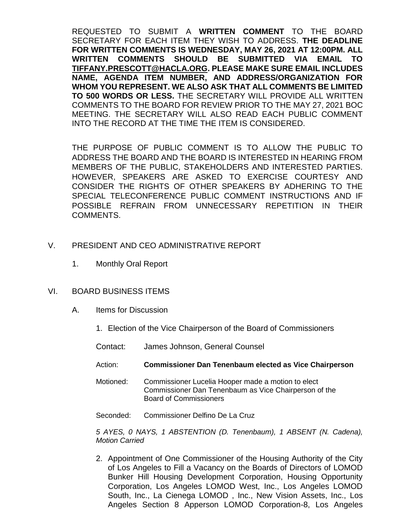REQUESTED TO SUBMIT A **WRITTEN COMMENT** TO THE BOARD SECRETARY FOR EACH ITEM THEY WISH TO ADDRESS. **THE DEADLINE FOR WRITTEN COMMENTS IS WEDNESDAY, MAY 26, 2021 AT 12:00PM. ALL WRITTEN COMMENTS SHOULD BE SUBMITTED VIA EMAIL TO [TIFFANY.PRESCOTT@HACLA.ORG.](mailto:TIFFANY.PRESCOTT@HACLA.ORG) PLEASE MAKE SURE EMAIL INCLUDES NAME, AGENDA ITEM NUMBER, AND ADDRESS/ORGANIZATION FOR WHOM YOU REPRESENT. WE ALSO ASK THAT ALL COMMENTS BE LIMITED TO 500 WORDS OR LESS.** THE SECRETARY WILL PROVIDE ALL WRITTEN COMMENTS TO THE BOARD FOR REVIEW PRIOR TO THE MAY 27, 2021 BOC MEETING. THE SECRETARY WILL ALSO READ EACH PUBLIC COMMENT INTO THE RECORD AT THE TIME THE ITEM IS CONSIDERED.

THE PURPOSE OF PUBLIC COMMENT IS TO ALLOW THE PUBLIC TO ADDRESS THE BOARD AND THE BOARD IS INTERESTED IN HEARING FROM MEMBERS OF THE PUBLIC, STAKEHOLDERS AND INTERESTED PARTIES. HOWEVER, SPEAKERS ARE ASKED TO EXERCISE COURTESY AND CONSIDER THE RIGHTS OF OTHER SPEAKERS BY ADHERING TO THE SPECIAL TELECONFERENCE PUBLIC COMMENT INSTRUCTIONS AND IF POSSIBLE REFRAIN FROM UNNECESSARY REPETITION IN THEIR COMMENTS.

# V. PRESIDENT AND CEO ADMINISTRATIVE REPORT

1. Monthly Oral Report

#### VI. BOARD BUSINESS ITEMS

- A. Items for Discussion
	- 1. Election of the Vice Chairperson of the Board of Commissioners
	- Contact: James Johnson, General Counsel
	- Action: **Commissioner Dan Tenenbaum elected as Vice Chairperson**
	- Motioned: Commissioner Lucelia Hooper made a motion to elect Commissioner Dan Tenenbaum as Vice Chairperson of the Board of Commissioners
	- Seconded: Commissioner Delfino De La Cruz

*5 AYES, 0 NAYS, 1 ABSTENTION (D. Tenenbaum), 1 ABSENT (N. Cadena), Motion Carried*

2. Appointment of One Commissioner of the Housing Authority of the City of Los Angeles to Fill a Vacancy on the Boards of Directors of LOMOD Bunker Hill Housing Development Corporation, Housing Opportunity Corporation, Los Angeles LOMOD West, Inc., Los Angeles LOMOD South, Inc., La Cienega LOMOD , Inc., New Vision Assets, Inc., Los Angeles Section 8 Apperson LOMOD Corporation-8, Los Angeles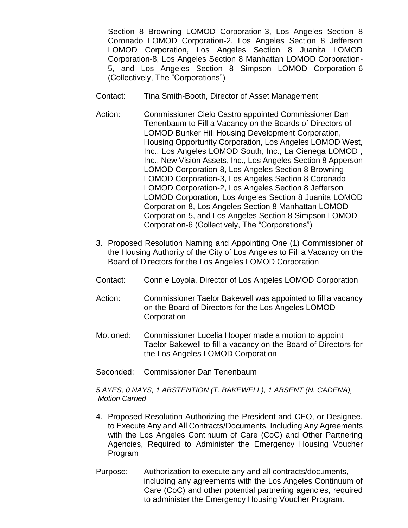Section 8 Browning LOMOD Corporation-3, Los Angeles Section 8 Coronado LOMOD Corporation-2, Los Angeles Section 8 Jefferson LOMOD Corporation, Los Angeles Section 8 Juanita LOMOD Corporation-8, Los Angeles Section 8 Manhattan LOMOD Corporation-5, and Los Angeles Section 8 Simpson LOMOD Corporation-6 (Collectively, The "Corporations")

- Contact: Tina Smith-Booth, Director of Asset Management
- Action: Commissioner Cielo Castro appointed Commissioner Dan Tenenbaum to Fill a Vacancy on the Boards of Directors of LOMOD Bunker Hill Housing Development Corporation, Housing Opportunity Corporation, Los Angeles LOMOD West, Inc., Los Angeles LOMOD South, Inc., La Cienega LOMOD , Inc., New Vision Assets, Inc., Los Angeles Section 8 Apperson LOMOD Corporation-8, Los Angeles Section 8 Browning LOMOD Corporation-3, Los Angeles Section 8 Coronado LOMOD Corporation-2, Los Angeles Section 8 Jefferson LOMOD Corporation, Los Angeles Section 8 Juanita LOMOD Corporation-8, Los Angeles Section 8 Manhattan LOMOD Corporation-5, and Los Angeles Section 8 Simpson LOMOD Corporation-6 (Collectively, The "Corporations")
- 3. Proposed Resolution Naming and Appointing One (1) Commissioner of the Housing Authority of the City of Los Angeles to Fill a Vacancy on the Board of Directors for the Los Angeles LOMOD Corporation
- Contact: Connie Loyola, Director of Los Angeles LOMOD Corporation
- Action: Commissioner Taelor Bakewell was appointed to fill a vacancy on the Board of Directors for the Los Angeles LOMOD **Corporation**
- Motioned: Commissioner Lucelia Hooper made a motion to appoint Taelor Bakewell to fill a vacancy on the Board of Directors for the Los Angeles LOMOD Corporation
- Seconded: Commissioner Dan Tenenbaum

*5 AYES, 0 NAYS, 1 ABSTENTION (T. BAKEWELL), 1 ABSENT (N. CADENA), Motion Carried*

- 4. Proposed Resolution Authorizing the President and CEO, or Designee, to Execute Any and All Contracts/Documents, Including Any Agreements with the Los Angeles Continuum of Care (CoC) and Other Partnering Agencies, Required to Administer the Emergency Housing Voucher Program
- Purpose: Authorization to execute any and all contracts/documents, including any agreements with the Los Angeles Continuum of Care (CoC) and other potential partnering agencies, required to administer the Emergency Housing Voucher Program.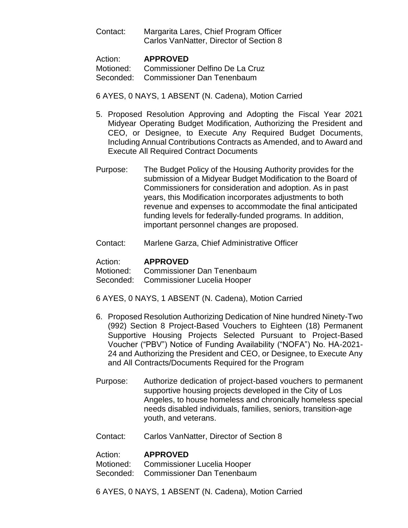| Contact: | Margarita Lares, Chief Program Officer  |
|----------|-----------------------------------------|
|          | Carlos VanNatter, Director of Section 8 |

| Action: | <b>APPROVED</b>                           |
|---------|-------------------------------------------|
|         | Motioned: Commissioner Delfino De La Cruz |
|         | Seconded: Commissioner Dan Tenenbaum      |

### 6 AYES, 0 NAYS, 1 ABSENT (N. Cadena), Motion Carried

- 5. Proposed Resolution Approving and Adopting the Fiscal Year 2021 Midyear Operating Budget Modification, Authorizing the President and CEO, or Designee, to Execute Any Required Budget Documents, Including Annual Contributions Contracts as Amended, and to Award and Execute All Required Contract Documents
- Purpose: The Budget Policy of the Housing Authority provides for the submission of a Midyear Budget Modification to the Board of Commissioners for consideration and adoption. As in past years, this Modification incorporates adjustments to both revenue and expenses to accommodate the final anticipated funding levels for federally-funded programs. In addition, important personnel changes are proposed.
- Contact: Marlene Garza, Chief Administrative Officer

### Action: **APPROVED**

Motioned: Commissioner Dan Tenenbaum

- Seconded: Commissioner Lucelia Hooper
- 6 AYES, 0 NAYS, 1 ABSENT (N. Cadena), Motion Carried
- 6. Proposed Resolution Authorizing Dedication of Nine hundred Ninety-Two (992) Section 8 Project-Based Vouchers to Eighteen (18) Permanent Supportive Housing Projects Selected Pursuant to Project-Based Voucher ("PBV") Notice of Funding Availability ("NOFA") No. HA-2021- 24 and Authorizing the President and CEO, or Designee, to Execute Any and All Contracts/Documents Required for the Program
- Purpose: Authorize dedication of project-based vouchers to permanent supportive housing projects developed in the City of Los Angeles, to house homeless and chronically homeless special needs disabled individuals, families, seniors, transition-age youth, and veterans.
- Contact: Carlos VanNatter, Director of Section 8

#### Action: **APPROVED**

Motioned: Commissioner Lucelia Hooper

- Seconded: Commissioner Dan Tenenbaum
- 6 AYES, 0 NAYS, 1 ABSENT (N. Cadena), Motion Carried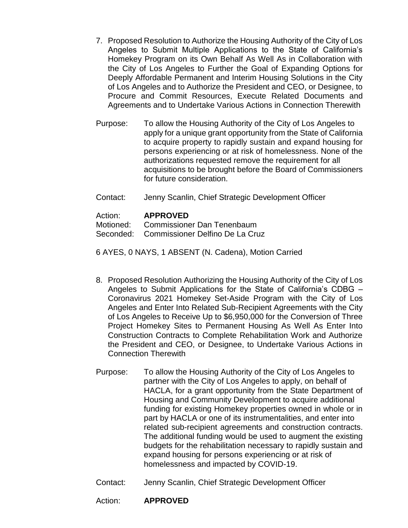- 7. Proposed Resolution to Authorize the Housing Authority of the City of Los Angeles to Submit Multiple Applications to the State of California's Homekey Program on its Own Behalf As Well As in Collaboration with the City of Los Angeles to Further the Goal of Expanding Options for Deeply Affordable Permanent and Interim Housing Solutions in the City of Los Angeles and to Authorize the President and CEO, or Designee, to Procure and Commit Resources, Execute Related Documents and Agreements and to Undertake Various Actions in Connection Therewith
- Purpose: To allow the Housing Authority of the City of Los Angeles to apply for a unique grant opportunity from the State of California to acquire property to rapidly sustain and expand housing for persons experiencing or at risk of homelessness. None of the authorizations requested remove the requirement for all acquisitions to be brought before the Board of Commissioners for future consideration.
- Contact: Jenny Scanlin, Chief Strategic Development Officer

# Action: **APPROVED**

Motioned: Commissioner Dan Tenenbaum

Seconded: Commissioner Delfino De La Cruz

- 6 AYES, 0 NAYS, 1 ABSENT (N. Cadena), Motion Carried
- 8. Proposed Resolution Authorizing the Housing Authority of the City of Los Angeles to Submit Applications for the State of California's CDBG – Coronavirus 2021 Homekey Set-Aside Program with the City of Los Angeles and Enter Into Related Sub-Recipient Agreements with the City of Los Angeles to Receive Up to \$6,950,000 for the Conversion of Three Project Homekey Sites to Permanent Housing As Well As Enter Into Construction Contracts to Complete Rehabilitation Work and Authorize the President and CEO, or Designee, to Undertake Various Actions in Connection Therewith
- Purpose: To allow the Housing Authority of the City of Los Angeles to partner with the City of Los Angeles to apply, on behalf of HACLA, for a grant opportunity from the State Department of Housing and Community Development to acquire additional funding for existing Homekey properties owned in whole or in part by HACLA or one of its instrumentalities, and enter into related sub-recipient agreements and construction contracts. The additional funding would be used to augment the existing budgets for the rehabilitation necessary to rapidly sustain and expand housing for persons experiencing or at risk of homelessness and impacted by COVID-19.
- Contact: Jenny Scanlin, Chief Strategic Development Officer

# Action: **APPROVED**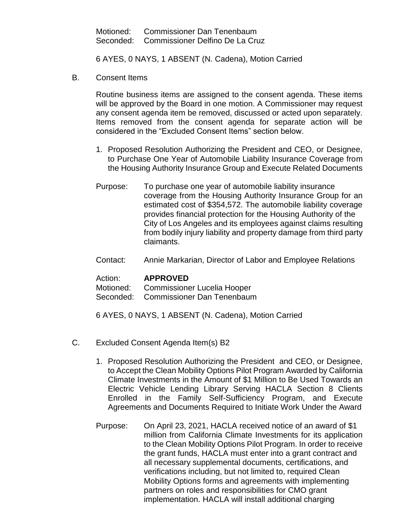Motioned: Commissioner Dan Tenenbaum Seconded: Commissioner Delfino De La Cruz

6 AYES, 0 NAYS, 1 ABSENT (N. Cadena), Motion Carried

B. Consent Items

Routine business items are assigned to the consent agenda. These items will be approved by the Board in one motion. A Commissioner may request any consent agenda item be removed, discussed or acted upon separately. Items removed from the consent agenda for separate action will be considered in the "Excluded Consent Items" section below.

- 1. Proposed Resolution Authorizing the President and CEO, or Designee, to Purchase One Year of Automobile Liability Insurance Coverage from the Housing Authority Insurance Group and Execute Related Documents
- Purpose: To purchase one year of automobile liability insurance coverage from the Housing Authority Insurance Group for an estimated cost of \$354,572. The automobile liability coverage provides financial protection for the Housing Authority of the City of Los Angeles and its employees against claims resulting from bodily injury liability and property damage from third party claimants.
- Contact: Annie Markarian, Director of Labor and Employee Relations

#### Action: **APPROVED**

Motioned: Commissioner Lucelia Hooper

Seconded: Commissioner Dan Tenenbaum

6 AYES, 0 NAYS, 1 ABSENT (N. Cadena), Motion Carried

- C. Excluded Consent Agenda Item(s) B2
	- 1. Proposed Resolution Authorizing the President and CEO, or Designee, to Accept the Clean Mobility Options Pilot Program Awarded by California Climate Investments in the Amount of \$1 Million to Be Used Towards an Electric Vehicle Lending Library Serving HACLA Section 8 Clients Enrolled in the Family Self-Sufficiency Program, and Execute Agreements and Documents Required to Initiate Work Under the Award
	- Purpose: On April 23, 2021, HACLA received notice of an award of \$1 million from California Climate Investments for its application to the Clean Mobility Options Pilot Program. In order to receive the grant funds, HACLA must enter into a grant contract and all necessary supplemental documents, certifications, and verifications including, but not limited to, required Clean Mobility Options forms and agreements with implementing partners on roles and responsibilities for CMO grant implementation. HACLA will install additional charging